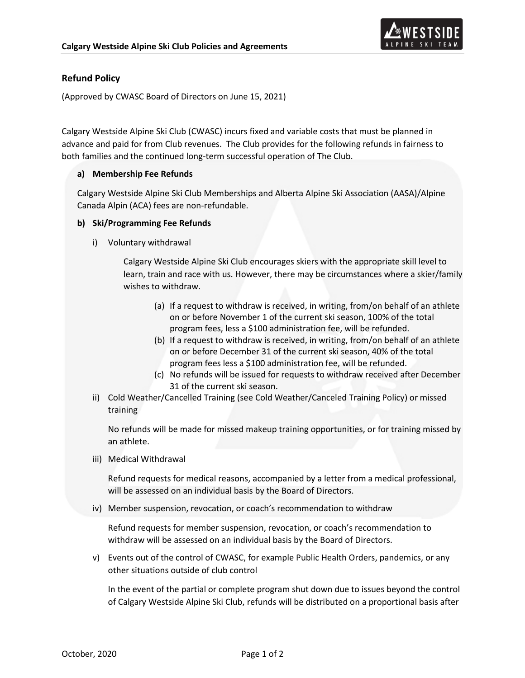

## **Refund Policy**

(Approved by CWASC Board of Directors on June 15, 2021)

Calgary Westside Alpine Ski Club (CWASC) incurs fixed and variable costs that must be planned in advance and paid for from Club revenues. The Club provides for the following refunds in fairness to both families and the continued long-term successful operation of The Club.

## **a) Membership Fee Refunds**

Calgary Westside Alpine Ski Club Memberships and Alberta Alpine Ski Association (AASA)/Alpine Canada Alpin (ACA) fees are non-refundable.

## **b) Ski/Programming Fee Refunds**

i) Voluntary withdrawal

Calgary Westside Alpine Ski Club encourages skiers with the appropriate skill level to learn, train and race with us. However, there may be circumstances where a skier/family wishes to withdraw.

- (a) If a request to withdraw is received, in writing, from/on behalf of an athlete on or before November 1 of the current ski season, 100% of the total program fees, less a \$100 administration fee, will be refunded.
- (b) If a request to withdraw is received, in writing, from/on behalf of an athlete on or before December 31 of the current ski season, 40% of the total program fees less a \$100 administration fee, will be refunded.
- (c) No refunds will be issued for requests to withdraw received after December 31 of the current ski season.
- ii) Cold Weather/Cancelled Training (see Cold Weather/Canceled Training Policy) or missed training

No refunds will be made for missed makeup training opportunities, or for training missed by an athlete.

iii) Medical Withdrawal

Refund requests for medical reasons, accompanied by a letter from a medical professional, will be assessed on an individual basis by the Board of Directors.

iv) Member suspension, revocation, or coach's recommendation to withdraw

Refund requests for member suspension, revocation, or coach's recommendation to withdraw will be assessed on an individual basis by the Board of Directors.

v) Events out of the control of CWASC, for example Public Health Orders, pandemics, or any other situations outside of club control

In the event of the partial or complete program shut down due to issues beyond the control of Calgary Westside Alpine Ski Club, refunds will be distributed on a proportional basis after